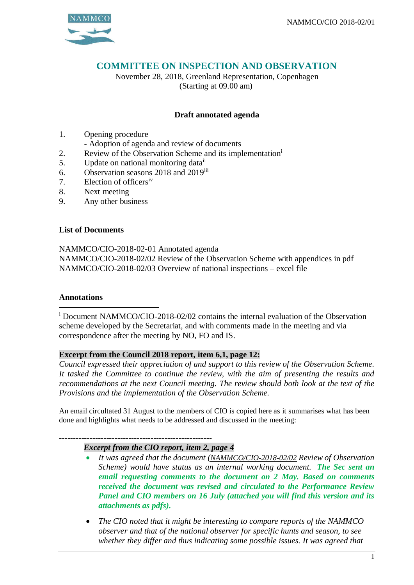

# **COMMITTEE ON INSPECTION AND OBSERVATION**

November 28, 2018, Greenland Representation, Copenhagen (Starting at 09.00 am)

## **Draft annotated agenda**

- 1. Opening procedure
	- Adoption of agenda and review of documents
- 2. Review of the Observation Scheme and its implementation<sup>i</sup>
- 5. Update on national monitoring data<sup>ii</sup>
- 6. Observation seasons 2018 and 2019iii
- 7. Election of officersiv
- 8. Next meeting
- 9. Any other business

### **List of Documents**

NAMMCO/CIO-2018-02-01 Annotated agenda NAMMCO/CIO-2018-02/02 Review of the Observation Scheme with appendices in pdf NAMMCO/CIO-2018-02/03 Overview of national inspections – excel file

### **Annotations**

 $\overline{a}$ 

<sup>i</sup> Document NAMMCO/CIO-2018-02/02 contains the internal evaluation of the Observation scheme developed by the Secretariat, and with comments made in the meeting and via correspondence after the meeting by NO, FO and IS.

### **Excerpt from the Council 2018 report, item 6,1, page 12:**

*Council expressed their appreciation of and support to this review of the Observation Scheme. It tasked the Committee to continue the review, with the aim of presenting the results and recommendations at the next Council meeting. The review should both look at the text of the Provisions and the implementation of the Observation Scheme.*

An email circultated 31 August to the members of CIO is copied here as it summarises what has been done and highlights what needs to be addressed and discussed in the meeting:

## **-------------------------------------------------------**

- *Excerpt from the CIO report, item 2, page 4*
	- *It was agreed that the document (NAMMCO/CIO-2018-02/02 Review of Observation Scheme) would have status as an internal working document. The Sec sent an email requesting comments to the document on 2 May. Based on comments received the document was revised and circulated to the Performance Review Panel and CIO members on 16 July (attached you will find this version and its attachments as pdfs).*
- *The CIO noted that it might be interesting to compare reports of the NAMMCO observer and that of the national observer for specific hunts and season, to see whether they differ and thus indicating some possible issues. It was agreed that*